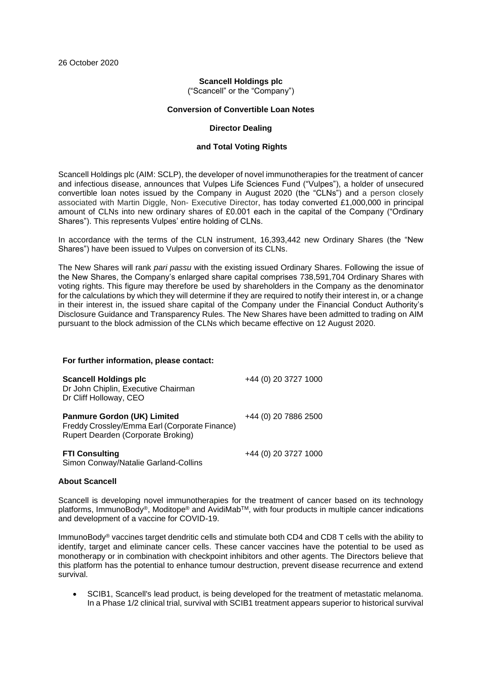### **Scancell Holdings plc**

("Scancell" or the "Company")

#### **Conversion of Convertible Loan Notes**

### **Director Dealing**

#### **and Total Voting Rights**

Scancell Holdings plc (AIM: SCLP), the developer of novel immunotherapies for the treatment of cancer and infectious disease, announces that Vulpes Life Sciences Fund ("Vulpes"), a holder of unsecured convertible loan notes issued by the Company in August 2020 (the "CLNs") and a person closely associated with Martin Diggle, Non- Executive Director, has today converted £1,000,000 in principal amount of CLNs into new ordinary shares of £0.001 each in the capital of the Company ("Ordinary Shares"). This represents Vulpes' entire holding of CLNs.

In accordance with the terms of the CLN instrument, 16,393,442 new Ordinary Shares (the "New Shares") have been issued to Vulpes on conversion of its CLNs.

The New Shares will rank *pari passu* with the existing issued Ordinary Shares. Following the issue of the New Shares, the Company's enlarged share capital comprises 738,591,704 Ordinary Shares with voting rights. This figure may therefore be used by shareholders in the Company as the denominator for the calculations by which they will determine if they are required to notify their interest in, or a change in their interest in, the issued share capital of the Company under the Financial Conduct Authority's Disclosure Guidance and Transparency Rules. The New Shares have been admitted to trading on AIM pursuant to the block admission of the CLNs which became effective on 12 August 2020.

### **For further information, please contact:**

| <b>Scancell Holdings plc</b><br>Dr John Chiplin, Executive Chairman<br>Dr Cliff Holloway, CEO                             | +44 (0) 20 3727 1000 |
|---------------------------------------------------------------------------------------------------------------------------|----------------------|
| <b>Panmure Gordon (UK) Limited</b><br>Freddy Crossley/Emma Earl (Corporate Finance)<br>Rupert Dearden (Corporate Broking) | +44 (0) 20 7886 2500 |
| <b>FTI Consulting</b><br>Simon Conway/Natalie Garland-Collins                                                             | +44 (0) 20 3727 1000 |

## **About Scancell**

Scancell is developing novel immunotherapies for the treatment of cancer based on its technology platforms, ImmunoBody®, Moditope® and AvidiMab<sup>™</sup>, with four products in multiple cancer indications and development of a vaccine for COVID-19.

ImmunoBody® vaccines target dendritic cells and stimulate both CD4 and CD8 T cells with the ability to identify, target and eliminate cancer cells. These cancer vaccines have the potential to be used as monotherapy or in combination with checkpoint inhibitors and other agents. The Directors believe that this platform has the potential to enhance tumour destruction, prevent disease recurrence and extend survival.

• SCIB1, Scancell's lead product, is being developed for the treatment of metastatic melanoma. In a Phase 1/2 clinical trial, survival with SCIB1 treatment appears superior to historical survival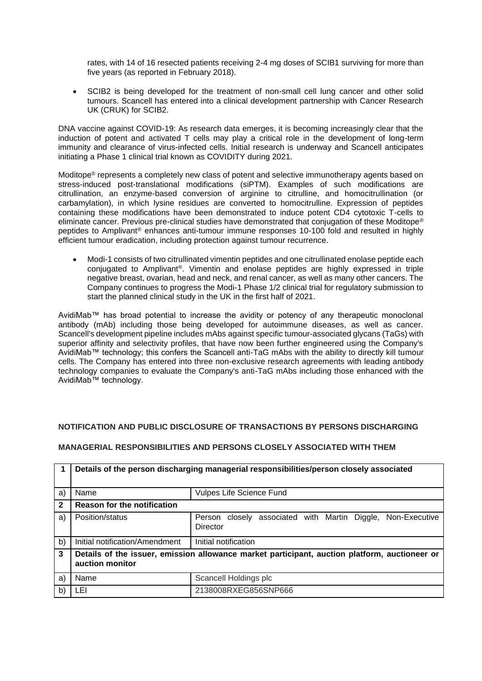rates, with 14 of 16 resected patients receiving 2-4 mg doses of SCIB1 surviving for more than five years (as reported in February 2018).

• SCIB2 is being developed for the treatment of non-small cell lung cancer and other solid tumours. Scancell has entered into a clinical development partnership with Cancer Research UK (CRUK) for SCIB2.

DNA vaccine against COVID-19: As research data emerges, it is becoming increasingly clear that the induction of potent and activated T cells may play a critical role in the development of long-term immunity and clearance of virus-infected cells. Initial research is underway and Scancell anticipates initiating a Phase 1 clinical trial known as COVIDITY during 2021.

Moditope® represents a completely new class of potent and selective immunotherapy agents based on stress-induced post-translational modifications (siPTM). Examples of such modifications are citrullination, an enzyme-based conversion of arginine to citrulline, and homocitrullination (or carbamylation), in which lysine residues are converted to homocitrulline. Expression of peptides containing these modifications have been demonstrated to induce potent CD4 cytotoxic T-cells to eliminate cancer. Previous pre-clinical studies have demonstrated that conjugation of these Moditope® peptides to Amplivant® enhances anti-tumour immune responses 10-100 fold and resulted in highly efficient tumour eradication, including protection against tumour recurrence.

• Modi-1 consists of two citrullinated vimentin peptides and one citrullinated enolase peptide each conjugated to Amplivant®. Vimentin and enolase peptides are highly expressed in triple negative breast, ovarian, head and neck, and renal cancer, as well as many other cancers. The Company continues to progress the Modi-1 Phase 1/2 clinical trial for regulatory submission to start the planned clinical study in the UK in the first half of 2021.

AvidiMab™ has broad potential to increase the avidity or potency of any therapeutic monoclonal antibody (mAb) including those being developed for autoimmune diseases, as well as cancer. Scancell's development pipeline includes mAbs against specific tumour-associated glycans (TaGs) with superior affinity and selectivity profiles, that have now been further engineered using the Company's AvidiMab™ technology; this confers the Scancell anti-TaG mAbs with the ability to directly kill tumour cells. The Company has entered into three non-exclusive research agreements with leading antibody technology companies to evaluate the Company's anti-TaG mAbs including those enhanced with the AvidiMab™ technology.

# **NOTIFICATION AND PUBLIC DISCLOSURE OF TRANSACTIONS BY PERSONS DISCHARGING**

|              | Details of the person discharging managerial responsibilities/person closely associated                          |                                                                                     |
|--------------|------------------------------------------------------------------------------------------------------------------|-------------------------------------------------------------------------------------|
| a)           | Name                                                                                                             | Vulpes Life Science Fund                                                            |
| $\mathbf{2}$ | <b>Reason for the notification</b>                                                                               |                                                                                     |
| a)           | Position/status                                                                                                  | associated with Martin<br>Non-Executive<br>Diggle,<br>closelv<br>Person<br>Director |
| b)           | Initial notification/Amendment                                                                                   | Initial notification                                                                |
| 3            | Details of the issuer, emission allowance market participant, auction platform, auctioneer or<br>auction monitor |                                                                                     |
| a)           | Name                                                                                                             | Scancell Holdings plc                                                               |
| $\mathsf{b}$ | LEI.                                                                                                             | 2138008RXEG856SNP666                                                                |

# **MANAGERIAL RESPONSIBILITIES AND PERSONS CLOSELY ASSOCIATED WITH THEM**